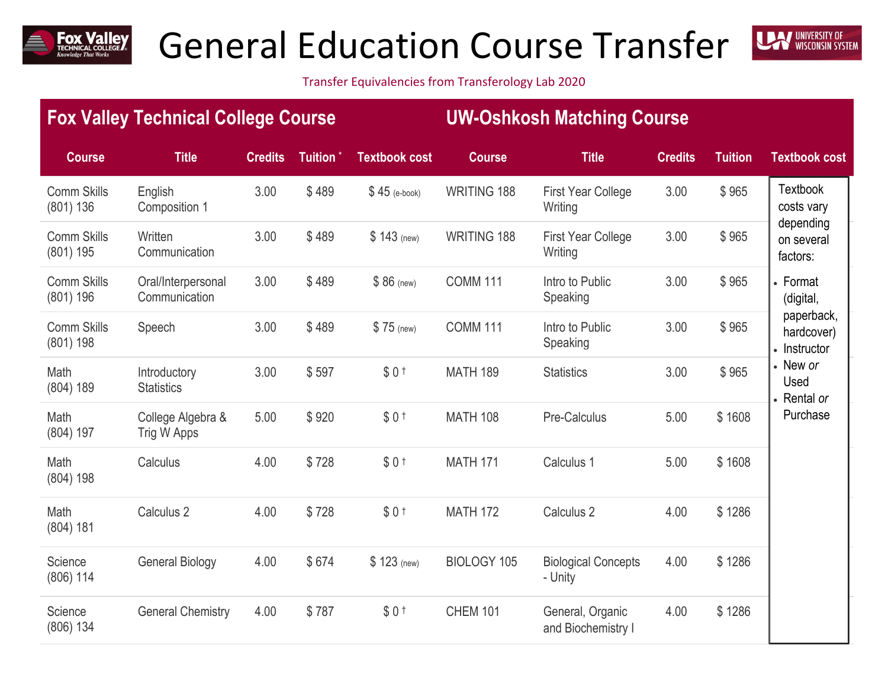

## General Education Course Transfer



Transfer Equivalencies from Transferology Lab 2020

|                                 | <b>Fox Valley Technical College Course</b> |                |                      |                      | <b>UW-Oshkosh Matching Course</b> |                                        |                |                |                                                                                       |  |
|---------------------------------|--------------------------------------------|----------------|----------------------|----------------------|-----------------------------------|----------------------------------------|----------------|----------------|---------------------------------------------------------------------------------------|--|
| <b>Course</b>                   | <b>Title</b>                               | <b>Credits</b> | Tuition <sup>*</sup> | <b>Textbook cost</b> | <b>Course</b>                     | <b>Title</b>                           | <b>Credits</b> | <b>Tuition</b> | <b>Textbook cost</b>                                                                  |  |
| <b>Comm Skills</b><br>(801) 136 | English<br>Composition 1                   | 3.00           | \$489                | $$45$ (e-book)       | <b>WRITING 188</b>                | <b>First Year College</b><br>Writing   | 3.00           | \$965          | Textbook<br>costs vary                                                                |  |
| <b>Comm Skills</b><br>(801) 195 | Written<br>Communication                   | 3.00           | \$489                | $$143$ (new)         | WRITING 188                       | <b>First Year College</b><br>Writing   | 3.00           | \$965          | depending<br>on several<br>factors:                                                   |  |
| <b>Comm Skills</b><br>(801) 196 | Oral/Interpersonal<br>Communication        | 3.00           | \$489                | $$86$ (new)          | <b>COMM 111</b>                   | Intro to Public<br>Speaking            | 3.00           | \$965          | • Format<br>(digital,                                                                 |  |
| <b>Comm Skills</b><br>(801) 198 | Speech                                     | 3.00           | \$489                | \$75 (new)           | <b>COMM 111</b>                   | Intro to Public<br>Speaking            | 3.00           | \$965          | paperback,<br>hardcover)<br>• Instructor<br>• New or<br>Used<br>Rental or<br>Purchase |  |
| Math<br>(804) 189               | Introductory<br><b>Statistics</b>          | 3.00           | \$597                | \$0 <sub>1</sub>     | <b>MATH 189</b>                   | <b>Statistics</b>                      | 3.00           | \$965          |                                                                                       |  |
| Math<br>(804) 197               | College Algebra &<br>Trig W Apps           | 5.00           | \$920                | \$0 <sub>1</sub>     | <b>MATH 108</b>                   | Pre-Calculus                           | 5.00           | \$1608         |                                                                                       |  |
| Math<br>(804) 198               | Calculus                                   | 4.00           | \$728                | \$0 <sub>1</sub>     | <b>MATH 171</b>                   | Calculus 1                             | 5.00           | \$1608         |                                                                                       |  |
| Math<br>(804) 181               | Calculus <sub>2</sub>                      | 4.00           | \$728                | \$0 <sub>1</sub>     | <b>MATH 172</b>                   | Calculus <sub>2</sub>                  | 4.00           | \$1286         |                                                                                       |  |
| Science<br>$(806)$ 114          | <b>General Biology</b>                     | 4.00           | \$674                | \$123 (new)          | BIOLOGY 105                       | <b>Biological Concepts</b><br>- Unity  | 4.00           | \$1286         |                                                                                       |  |
| Science<br>(806) 134            | <b>General Chemistry</b>                   | 4.00           | \$787                | \$0 <sub>1</sub>     | <b>CHEM 101</b>                   | General, Organic<br>and Biochemistry I | 4.00           | \$1286         |                                                                                       |  |